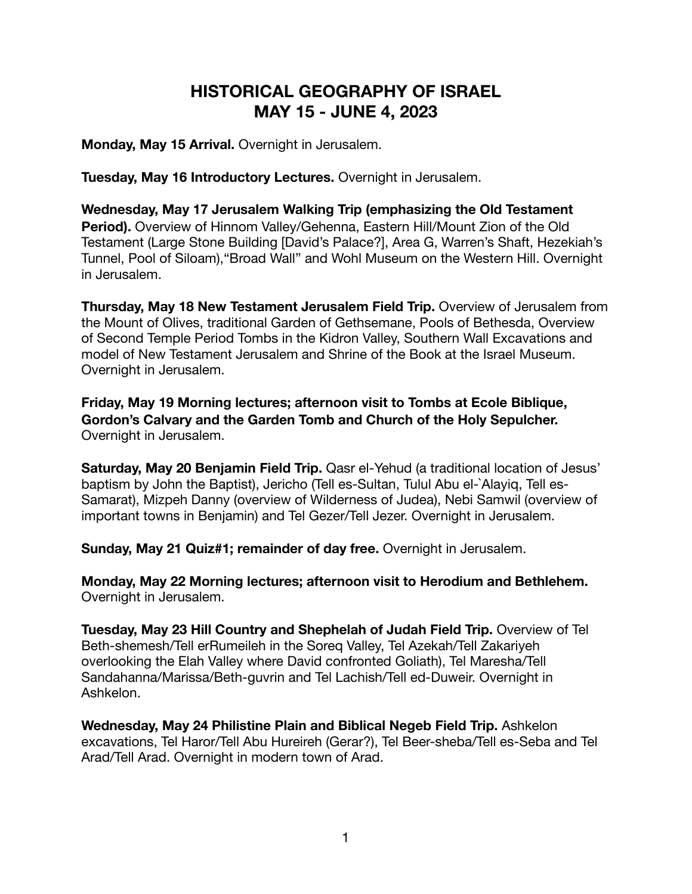## **HISTORICAL GEOGRAPHY OF ISRAEL MAY 15 - JUNE 4, 2023**

**Monday, May 15 Arrival.** Overnight in Jerusalem.

**Tuesday, May 16 Introductory Lectures.** Overnight in Jerusalem.

**Wednesday, May 17 Jerusalem Walking Trip (emphasizing the Old Testament Period).** Overview of Hinnom Valley/Gehenna, Eastern Hill/Mount Zion of the Old Testament (Large Stone Building [David's Palace?], Area G, Warren's Shaft, Hezekiah's Tunnel, Pool of Siloam),"Broad Wall" and Wohl Museum on the Western Hill. Overnight in Jerusalem.

**Thursday, May 18 New Testament Jerusalem Field Trip.** Overview of Jerusalem from the Mount of Olives, traditional Garden of Gethsemane, Pools of Bethesda, Overview of Second Temple Period Tombs in the Kidron Valley, Southern Wall Excavations and model of New Testament Jerusalem and Shrine of the Book at the Israel Museum. Overnight in Jerusalem.

**Friday, May 19 Morning lectures; afternoon visit to Tombs at Ecole Biblique, Gordon's Calvary and the Garden Tomb and Church of the Holy Sepulcher.** Overnight in Jerusalem.

**Saturday, May 20 Benjamin Field Trip.** Qasr el-Yehud (a traditional location of Jesus' baptism by John the Baptist), Jericho (Tell es-Sultan, Tulul Abu el-`Alayiq, Tell es-Samarat), Mizpeh Danny (overview of Wilderness of Judea), Nebi Samwil (overview of important towns in Benjamin) and Tel Gezer/Tell Jezer. Overnight in Jerusalem.

**Sunday, May 21 Quiz#1; remainder of day free.** Overnight in Jerusalem.

**Monday, May 22 Morning lectures; afternoon visit to Herodium and Bethlehem.** Overnight in Jerusalem.

**Tuesday, May 23 Hill Country and Shephelah of Judah Field Trip.** Overview of Tel Beth-shemesh/Tell erRumeileh in the Soreq Valley, Tel Azekah/Tell Zakariyeh overlooking the Elah Valley where David confronted Goliath), Tel Maresha/Tell Sandahanna/Marissa/Beth-guvrin and Tel Lachish/Tell ed-Duweir. Overnight in Ashkelon.

**Wednesday, May 24 Philistine Plain and Biblical Negeb Field Trip.** Ashkelon excavations, Tel Haror/Tell Abu Hureireh (Gerar?), Tel Beer-sheba/Tell es-Seba and Tel Arad/Tell Arad. Overnight in modern town of Arad.